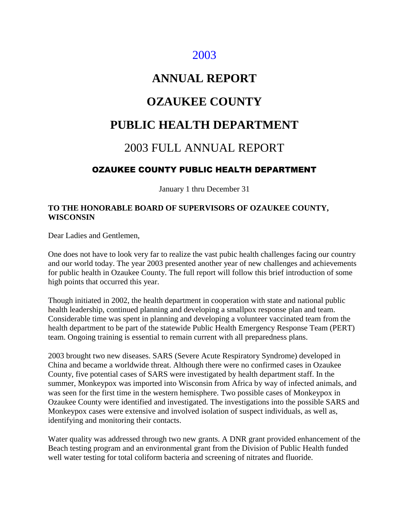## 2003

## **ANNUAL REPORT**

## **OZAUKEE COUNTY**

## **PUBLIC HEALTH DEPARTMENT**

## 2003 FULL ANNUAL REPORT

### OZAUKEE COUNTY PUBLIC HEALTH DEPARTMENT

January 1 thru December 31

#### **TO THE HONORABLE BOARD OF SUPERVISORS OF OZAUKEE COUNTY, WISCONSIN**

Dear Ladies and Gentlemen,

One does not have to look very far to realize the vast pubic health challenges facing our country and our world today. The year 2003 presented another year of new challenges and achievements for public health in Ozaukee County. The full report will follow this brief introduction of some high points that occurred this year.

Though initiated in 2002, the health department in cooperation with state and national public health leadership, continued planning and developing a smallpox response plan and team. Considerable time was spent in planning and developing a volunteer vaccinated team from the health department to be part of the statewide Public Health Emergency Response Team (PERT) team. Ongoing training is essential to remain current with all preparedness plans.

2003 brought two new diseases. SARS (Severe Acute Respiratory Syndrome) developed in China and became a worldwide threat. Although there were no confirmed cases in Ozaukee County, five potential cases of SARS were investigated by health department staff. In the summer, Monkeypox was imported into Wisconsin from Africa by way of infected animals, and was seen for the first time in the western hemisphere. Two possible cases of Monkeypox in Ozaukee County were identified and investigated. The investigations into the possible SARS and Monkeypox cases were extensive and involved isolation of suspect individuals, as well as, identifying and monitoring their contacts.

Water quality was addressed through two new grants. A DNR grant provided enhancement of the Beach testing program and an environmental grant from the Division of Public Health funded well water testing for total coliform bacteria and screening of nitrates and fluoride.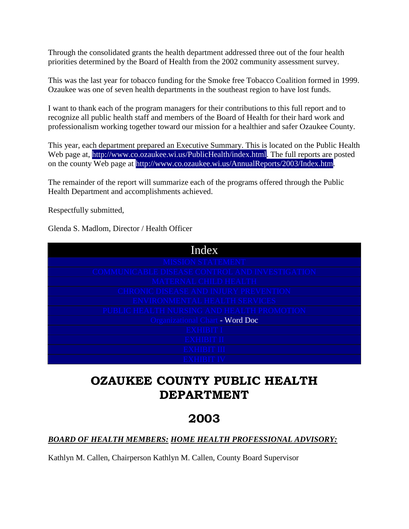Through the consolidated grants the health department addressed three out of the four health priorities determined by the Board of Health from the 2002 community assessment survey.

This was the last year for tobacco funding for the Smoke free Tobacco Coalition formed in 1999. Ozaukee was one of seven health departments in the southeast region to have lost funds.

I want to thank each of the program managers for their contributions to this full report and to recognize all public health staff and members of the Board of Health for their hard work and professionalism working together toward our mission for a healthier and safer Ozaukee County.

This year, each department prepared an Executive Summary. This is located on the Public Health Web page at, [http://www.co.ozaukee.wi.us/PublicHealth/index.html.](http://www.co.ozaukee.wi.us/PublicHealth/index.html) The full reports are posted on the county Web page at [http://www.co.ozaukee.wi.us/AnnualReports/2003/Index.htm.](http://www.co.ozaukee.wi.us/AnnualReports/2003/Index.htm)

The remainder of the report will summarize each of the programs offered through the Public Health Department and accomplishments achieved.

Respectfully submitted,

Glenda S. Madlom, Director / Health Officer

| Index                                          |
|------------------------------------------------|
| <b>MISSION STATEMENT</b>                       |
| COMMUNICABLE DISEASE CONTROL AND INVESTIGATION |
| <b>MATERNAL CHILD HEALTH</b>                   |
| <b>CHRONIC DISEASE AND INJURY PREVENTION</b>   |
| <b>ENVIRONMENTAL HEALTH SERVICES</b>           |
| PUBLIC HEALTH NURSING AND HEALTH PROMOTION     |
| Organizational Chart - Word Doc                |
| <b>EXHIBIT I</b>                               |
| <b>EXHIBIT II</b>                              |
| <b>EXHIBIT III</b>                             |
| <b>EXHIBIT IV</b>                              |

## **OZAUKEE COUNTY PUBLIC HEALTH DEPARTMENT**

## **2003**

#### *BOARD OF HEALTH MEMBERS: HOME HEALTH PROFESSIONAL ADVISORY:*

Kathlyn M. Callen, Chairperson Kathlyn M. Callen, County Board Supervisor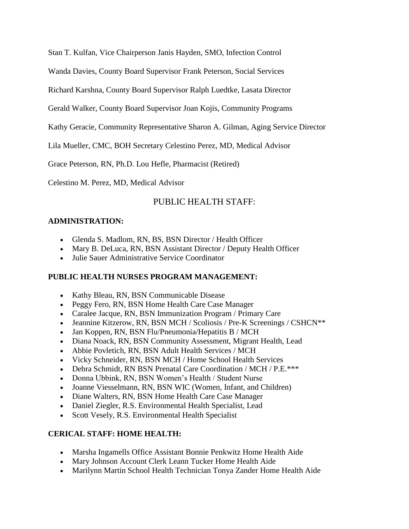Stan T. Kulfan, Vice Chairperson Janis Hayden, SMO, Infection Control

Wanda Davies, County Board Supervisor Frank Peterson, Social Services

Richard Karshna, County Board Supervisor Ralph Luedtke, Lasata Director

Gerald Walker, County Board Supervisor Joan Kojis, Community Programs

Kathy Geracie, Community Representative Sharon A. Gilman, Aging Service Director

Lila Mueller, CMC, BOH Secretary Celestino Perez, MD, Medical Advisor

Grace Peterson, RN, Ph.D. Lou Hefle, Pharmacist (Retired)

Celestino M. Perez, MD, Medical Advisor

#### PUBLIC HEALTH STAFF:

#### **ADMINISTRATION:**

- Glenda S. Madlom, RN, BS, BSN Director / Health Officer
- Mary B. DeLuca, RN, BSN Assistant Director / Deputy Health Officer
- Julie Sauer Administrative Service Coordinator

#### **PUBLIC HEALTH NURSES PROGRAM MANAGEMENT:**

- Kathy Bleau, RN, BSN Communicable Disease
- Peggy Fero, RN, BSN Home Health Care Case Manager
- Caralee Jacque, RN, BSN Immunization Program / Primary Care
- Jeannine Kitzerow, RN, BSN MCH / Scoliosis / Pre-K Screenings / CSHCN\*\*
- Jan Koppen, RN, BSN Flu/Pneumonia/Hepatitis B / MCH
- Diana Noack, RN, BSN Community Assessment, Migrant Health, Lead
- Abbie Povletich, RN, BSN Adult Health Services / MCH
- Vicky Schneider, RN, BSN MCH / Home School Health Services
- Debra Schmidt, RN BSN Prenatal Care Coordination / MCH / P.E.\*\*\*
- Donna Ubbink, RN, BSN Women's Health / Student Nurse
- Joanne Viesselmann, RN, BSN WIC (Women, Infant, and Children)
- Diane Walters, RN, BSN Home Health Care Case Manager
- Daniel Ziegler, R.S. Environmental Health Specialist, Lead
- Scott Vesely, R.S. Environmental Health Specialist

#### **CERICAL STAFF: HOME HEALTH:**

- Marsha Ingamells Office Assistant Bonnie Penkwitz Home Health Aide
- Mary Johnson Account Clerk Leann Tucker Home Health Aide
- Marilynn Martin School Health Technician Tonya Zander Home Health Aide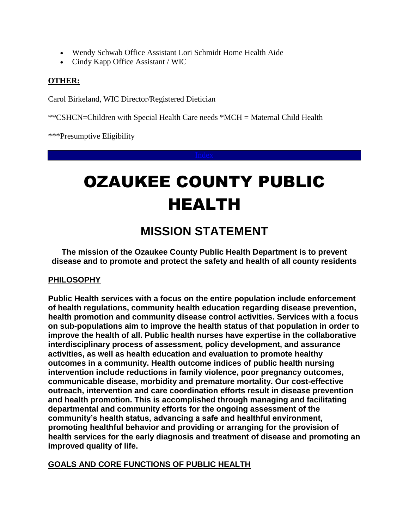- Wendy Schwab Office Assistant Lori Schmidt Home Health Aide
- Cindy Kapp Office Assistant / WIC

#### **OTHER:**

Carol Birkeland, WIC Director/Registered Dietician

\*\*CSHCN=Children with Special Health Care needs \*MCH = Maternal Child Health

\*\*\*Presumptive Eligibility

# OZAUKEE COUNTY PUBLIC HEALTH

## **MISSION STATEMENT**

**The mission of the Ozaukee County Public Health Department is to prevent disease and to promote and protect the safety and health of all county residents**

#### **PHILOSOPHY**

**Public Health services with a focus on the entire population include enforcement of health regulations, community health education regarding disease prevention, health promotion and community disease control activities. Services with a focus on sub-populations aim to improve the health status of that population in order to improve the health of all. Public health nurses have expertise in the collaborative interdisciplinary process of assessment, policy development, and assurance activities, as well as health education and evaluation to promote healthy outcomes in a community. Health outcome indices of public health nursing intervention include reductions in family violence, poor pregnancy outcomes, communicable disease, morbidity and premature mortality. Our cost-effective outreach, intervention and care coordination efforts result in disease prevention and health promotion. This is accomplished through managing and facilitating departmental and community efforts for the ongoing assessment of the community's health status, advancing a safe and healthful environment, promoting healthful behavior and providing or arranging for the provision of health services for the early diagnosis and treatment of disease and promoting an improved quality of life.**

**GOALS AND CORE FUNCTIONS OF PUBLIC HEALTH**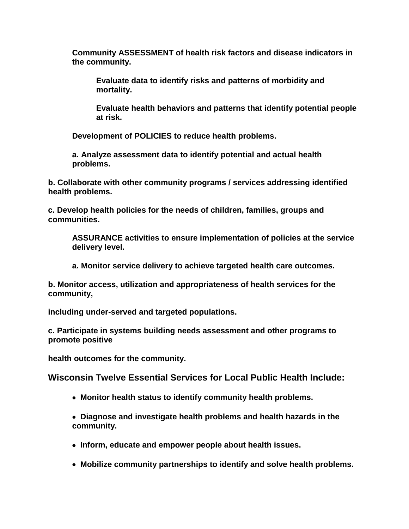**Community ASSESSMENT of health risk factors and disease indicators in the community.**

**Evaluate data to identify risks and patterns of morbidity and mortality.**

**Evaluate health behaviors and patterns that identify potential people at risk.**

**Development of POLICIES to reduce health problems.**

**a. Analyze assessment data to identify potential and actual health problems.**

**b. Collaborate with other community programs / services addressing identified health problems.**

**c. Develop health policies for the needs of children, families, groups and communities.**

**ASSURANCE activities to ensure implementation of policies at the service delivery level.**

**a. Monitor service delivery to achieve targeted health care outcomes.**

**b. Monitor access, utilization and appropriateness of health services for the community,**

**including under-served and targeted populations.**

**c. Participate in systems building needs assessment and other programs to promote positive** 

**health outcomes for the community.**

**Wisconsin Twelve Essential Services for Local Public Health Include:**

 **Monitor health status to identify community health problems.**

 **Diagnose and investigate health problems and health hazards in the community.**

- **Inform, educate and empower people about health issues.**
- **Mobilize community partnerships to identify and solve health problems.**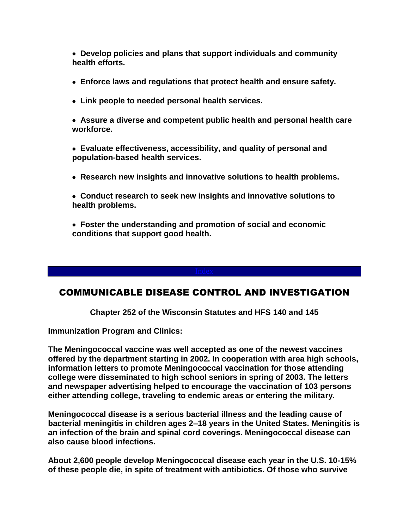**Develop policies and plans that support individuals and community health efforts.**

- **Enforce laws and regulations that protect health and ensure safety.**
- **Link people to needed personal health services.**
- **Assure a diverse and competent public health and personal health care workforce.**
- **Evaluate effectiveness, accessibility, and quality of personal and population-based health services.**
- **Research new insights and innovative solutions to health problems.**
- **Conduct research to seek new insights and innovative solutions to health problems.**
- **Foster the understanding and promotion of social and economic conditions that support good health.**

#### COMMUNICABLE DISEASE CONTROL AND INVESTIGATION

**Chapter 252 of the Wisconsin Statutes and HFS 140 and 145**

**Immunization Program and Clinics:**

**The Meningococcal vaccine was well accepted as one of the newest vaccines offered by the department starting in 2002. In cooperation with area high schools, information letters to promote Meningococcal vaccination for those attending college were disseminated to high school seniors in spring of 2003. The letters and newspaper advertising helped to encourage the vaccination of 103 persons either attending college, traveling to endemic areas or entering the military.**

**Meningococcal disease is a serious bacterial illness and the leading cause of bacterial meningitis in children ages 2–18 years in the United States. Meningitis is an infection of the brain and spinal cord coverings. Meningococcal disease can also cause blood infections.**

**About 2,600 people develop Meningococcal disease each year in the U.S. 10-15% of these people die, in spite of treatment with antibiotics. Of those who survive**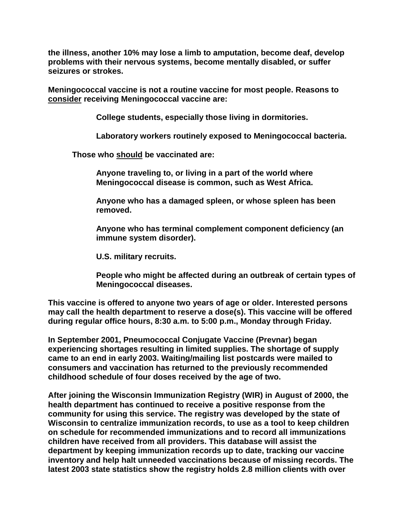**the illness, another 10% may lose a limb to amputation, become deaf, develop problems with their nervous systems, become mentally disabled, or suffer seizures or strokes.** 

**Meningococcal vaccine is not a routine vaccine for most people. Reasons to consider receiving Meningococcal vaccine are:** 

**College students, especially those living in dormitories.**

**Laboratory workers routinely exposed to Meningococcal bacteria.** 

**Those who should be vaccinated are:**

**Anyone traveling to, or living in a part of the world where Meningococcal disease is common, such as West Africa.** 

**Anyone who has a damaged spleen, or whose spleen has been removed.**

**Anyone who has terminal complement component deficiency (an immune system disorder).**

**U.S. military recruits.**

**People who might be affected during an outbreak of certain types of Meningococcal diseases.** 

**This vaccine is offered to anyone two years of age or older. Interested persons may call the health department to reserve a dose(s). This vaccine will be offered during regular office hours, 8:30 a.m. to 5:00 p.m., Monday through Friday.** 

**In September 2001, Pneumococcal Conjugate Vaccine (Prevnar) began experiencing shortages resulting in limited supplies. The shortage of supply came to an end in early 2003. Waiting/mailing list postcards were mailed to consumers and vaccination has returned to the previously recommended childhood schedule of four doses received by the age of two.** 

**After joining the Wisconsin Immunization Registry (WIR) in August of 2000, the health department has continued to receive a positive response from the community for using this service. The registry was developed by the state of Wisconsin to centralize immunization records, to use as a tool to keep children on schedule for recommended immunizations and to record all immunizations children have received from all providers. This database will assist the department by keeping immunization records up to date, tracking our vaccine inventory and help halt unneeded vaccinations because of missing records. The latest 2003 state statistics show the registry holds 2.8 million clients with over**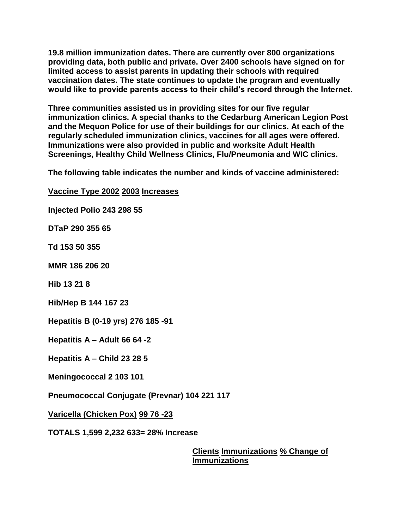**19.8 million immunization dates. There are currently over 800 organizations providing data, both public and private. Over 2400 schools have signed on for limited access to assist parents in updating their schools with required vaccination dates. The state continues to update the program and eventually would like to provide parents access to their child's record through the Internet.**

**Three communities assisted us in providing sites for our five regular immunization clinics. A special thanks to the Cedarburg American Legion Post and the Mequon Police for use of their buildings for our clinics. At each of the regularly scheduled immunization clinics, vaccines for all ages were offered. Immunizations were also provided in public and worksite Adult Health Screenings, Healthy Child Wellness Clinics, Flu/Pneumonia and WIC clinics.**

**The following table indicates the number and kinds of vaccine administered:**

**Vaccine Type 2002 2003 Increases Injected Polio 243 298 55 DTaP 290 355 65 Td 153 50 355 MMR 186 206 20 Hib 13 21 8 Hib/Hep B 144 167 23 Hepatitis B (0-19 yrs) 276 185 -91 Hepatitis A – Adult 66 64 -2 Hepatitis A – Child 23 28 5 Meningococcal 2 103 101 Pneumococcal Conjugate (Prevnar) 104 221 117 Varicella (Chicken Pox) 99 76 -23 TOTALS 1,599 2,232 633= 28% Increase**

**Clients Immunizations % Change of Immunizations**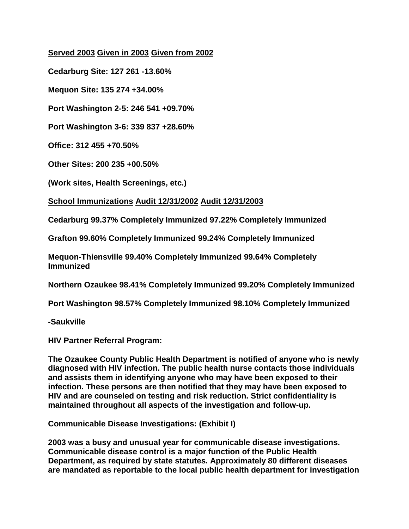#### **Served 2003 Given in 2003 Given from 2002**

**Cedarburg Site: 127 261 -13.60%** 

**Mequon Site: 135 274 +34.00%**

**Port Washington 2-5: 246 541 +09.70%**

**Port Washington 3-6: 339 837 +28.60%**

**Office: 312 455 +70.50%**

**Other Sites: 200 235 +00.50%**

**(Work sites, Health Screenings, etc.)**

#### **School Immunizations Audit 12/31/2002 Audit 12/31/2003**

**Cedarburg 99.37% Completely Immunized 97.22% Completely Immunized**

**Grafton 99.60% Completely Immunized 99.24% Completely Immunized**

**Mequon-Thiensville 99.40% Completely Immunized 99.64% Completely Immunized**

**Northern Ozaukee 98.41% Completely Immunized 99.20% Completely Immunized**

**Port Washington 98.57% Completely Immunized 98.10% Completely Immunized**

**-Saukville** 

**HIV Partner Referral Program:**

**The Ozaukee County Public Health Department is notified of anyone who is newly diagnosed with HIV infection. The public health nurse contacts those individuals and assists them in identifying anyone who may have been exposed to their infection. These persons are then notified that they may have been exposed to HIV and are counseled on testing and risk reduction. Strict confidentiality is maintained throughout all aspects of the investigation and follow-up.**

**Communicable Disease Investigations: (Exhibit I)**

**2003 was a busy and unusual year for communicable disease investigations. Communicable disease control is a major function of the Public Health Department, as required by state statutes. Approximately 80 different diseases are mandated as reportable to the local public health department for investigation**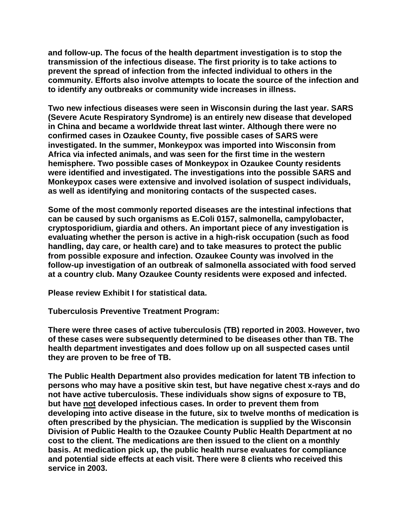**and follow-up. The focus of the health department investigation is to stop the transmission of the infectious disease. The first priority is to take actions to prevent the spread of infection from the infected individual to others in the community. Efforts also involve attempts to locate the source of the infection and to identify any outbreaks or community wide increases in illness.**

**Two new infectious diseases were seen in Wisconsin during the last year. SARS (Severe Acute Respiratory Syndrome) is an entirely new disease that developed in China and became a worldwide threat last winter. Although there were no confirmed cases in Ozaukee County, five possible cases of SARS were investigated. In the summer, Monkeypox was imported into Wisconsin from Africa via infected animals, and was seen for the first time in the western hemisphere. Two possible cases of Monkeypox in Ozaukee County residents were identified and investigated. The investigations into the possible SARS and Monkeypox cases were extensive and involved isolation of suspect individuals, as well as identifying and monitoring contacts of the suspected cases.** 

**Some of the most commonly reported diseases are the intestinal infections that can be caused by such organisms as E.Coli 0157, salmonella, campylobacter, cryptosporidium, giardia and others. An important piece of any investigation is evaluating whether the person is active in a high-risk occupation (such as food handling, day care, or health care) and to take measures to protect the public from possible exposure and infection. Ozaukee County was involved in the follow-up investigation of an outbreak of salmonella associated with food served at a country club. Many Ozaukee County residents were exposed and infected.**

**Please review Exhibit I for statistical data.**

**Tuberculosis Preventive Treatment Program:**

**There were three cases of active tuberculosis (TB) reported in 2003. However, two of these cases were subsequently determined to be diseases other than TB. The health department investigates and does follow up on all suspected cases until they are proven to be free of TB.**

**The Public Health Department also provides medication for latent TB infection to persons who may have a positive skin test, but have negative chest x-rays and do not have active tuberculosis. These individuals show signs of exposure to TB, but have not developed infectious cases. In order to prevent them from developing into active disease in the future, six to twelve months of medication is often prescribed by the physician. The medication is supplied by the Wisconsin Division of Public Health to the Ozaukee County Public Health Department at no cost to the client. The medications are then issued to the client on a monthly basis. At medication pick up, the public health nurse evaluates for compliance and potential side effects at each visit. There were 8 clients who received this service in 2003.**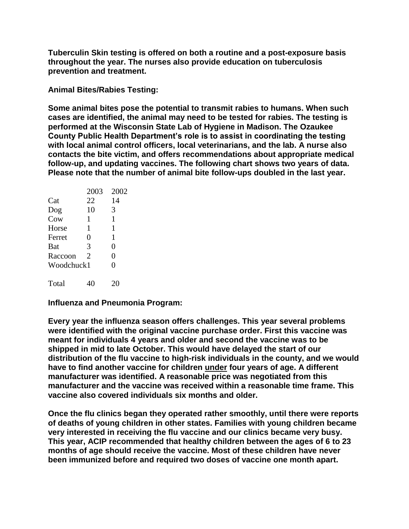**Tuberculin Skin testing is offered on both a routine and a post-exposure basis throughout the year. The nurses also provide education on tuberculosis prevention and treatment.**

**Animal Bites/Rabies Testing:**

**Some animal bites pose the potential to transmit rabies to humans. When such cases are identified, the animal may need to be tested for rabies. The testing is performed at the Wisconsin State Lab of Hygiene in Madison. The Ozaukee County Public Health Department's role is to assist in coordinating the testing with local animal control officers, local veterinarians, and the lab. A nurse also contacts the bite victim, and offers recommendations about appropriate medical follow-up, and updating vaccines. The following chart shows two years of data. Please note that the number of animal bite follow-ups doubled in the last year.** 

|            | 2003 | 2002 |
|------------|------|------|
| Cat        | 22   | 14   |
| Dog        | 10   | 3    |
| Cow        | 1    | 1    |
| Horse      | 1    | 1    |
| Ferret     | 0    | 1    |
| <b>Bat</b> | 3    | 0    |
| Raccoon    | 2    | 0    |
| Woodchuck1 |      | 0    |
| Total      |      |      |

**Influenza and Pneumonia Program:**

**Every year the influenza season offers challenges. This year several problems were identified with the original vaccine purchase order. First this vaccine was meant for individuals 4 years and older and second the vaccine was to be shipped in mid to late October. This would have delayed the start of our distribution of the flu vaccine to high-risk individuals in the county, and we would have to find another vaccine for children under four years of age. A different manufacturer was identified. A reasonable price was negotiated from this manufacturer and the vaccine was received within a reasonable time frame. This vaccine also covered individuals six months and older.**

**Once the flu clinics began they operated rather smoothly, until there were reports of deaths of young children in other states. Families with young children became very interested in receiving the flu vaccine and our clinics became very busy. This year, ACIP recommended that healthy children between the ages of 6 to 23 months of age should receive the vaccine. Most of these children have never been immunized before and required two doses of vaccine one month apart.**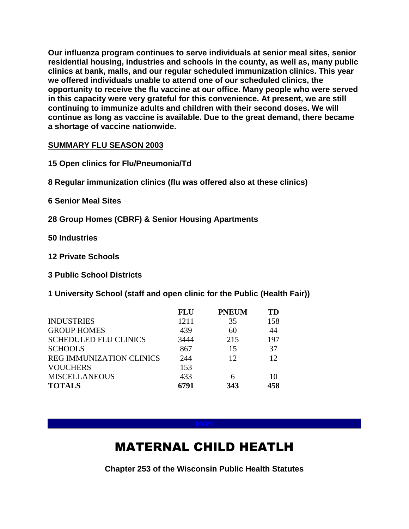**Our influenza program continues to serve individuals at senior meal sites, senior residential housing, industries and schools in the county, as well as, many public clinics at bank, malls, and our regular scheduled immunization clinics. This year we offered individuals unable to attend one of our scheduled clinics, the opportunity to receive the flu vaccine at our office. Many people who were served in this capacity were very grateful for this convenience. At present, we are still continuing to immunize adults and children with their second doses. We will continue as long as vaccine is available. Due to the great demand, there became a shortage of vaccine nationwide.**

#### **SUMMARY FLU SEASON 2003**

**15 Open clinics for Flu/Pneumonia/Td**

**8 Regular immunization clinics (flu was offered also at these clinics)**

**6 Senior Meal Sites**

**28 Group Homes (CBRF) & Senior Housing Apartments**

**50 Industries**

**12 Private Schools**

**3 Public School Districts**

**1 University School (staff and open clinic for the Public (Health Fair))**

|                                 | <b>FLU</b> | <b>PNEUM</b> | TD  |
|---------------------------------|------------|--------------|-----|
| <b>INDUSTRIES</b>               | 1211       | 35           | 158 |
| <b>GROUP HOMES</b>              | 439        | 60           | 44  |
| <b>SCHEDULED FLU CLINICS</b>    | 3444       | 215          | 197 |
| <b>SCHOOLS</b>                  | 867        | 15           | 37  |
| <b>REG IMMUNIZATION CLINICS</b> | 244        | 12           | 12  |
| <b>VOUCHERS</b>                 | 153        |              |     |
| <b>MISCELLANEOUS</b>            | 433        |              | 10  |
| <b>TOTALS</b>                   | 6791       | 343          | 458 |

## MATERNAL CHILD HEATLH

**Chapter 253 of the Wisconsin Public Health Statutes**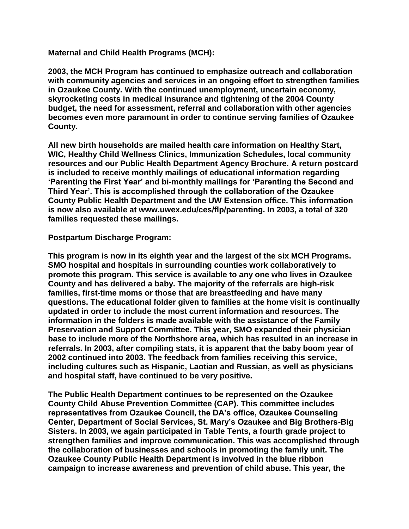**Maternal and Child Health Programs (MCH):** 

**2003, the MCH Program has continued to emphasize outreach and collaboration with community agencies and services in an ongoing effort to strengthen families in Ozaukee County. With the continued unemployment, uncertain economy, skyrocketing costs in medical insurance and tightening of the 2004 County budget, the need for assessment, referral and collaboration with other agencies becomes even more paramount in order to continue serving families of Ozaukee County.** 

**All new birth households are mailed health care information on Healthy Start, WIC, Healthy Child Wellness Clinics, Immunization Schedules, local community resources and our Public Health Department Agency Brochure. A return postcard is included to receive monthly mailings of educational information regarding 'Parenting the First Year' and bi-monthly mailings for 'Parenting the Second and Third Year'. This is accomplished through the collaboration of the Ozaukee County Public Health Department and the UW Extension office. This information is now also available at www.uwex.edu/ces/flp/parenting. In 2003, a total of 320 families requested these mailings.**

#### **Postpartum Discharge Program:**

**This program is now in its eighth year and the largest of the six MCH Programs. SMO hospital and hospitals in surrounding counties work collaboratively to promote this program. This service is available to any one who lives in Ozaukee County and has delivered a baby. The majority of the referrals are high-risk families, first-time moms or those that are breastfeeding and have many questions. The educational folder given to families at the home visit is continually updated in order to include the most current information and resources. The information in the folders is made available with the assistance of the Family Preservation and Support Committee. This year, SMO expanded their physician base to include more of the Northshore area, which has resulted in an increase in referrals. In 2003, after compiling stats, it is apparent that the baby boom year of 2002 continued into 2003. The feedback from families receiving this service, including cultures such as Hispanic, Laotian and Russian, as well as physicians and hospital staff, have continued to be very positive.** 

**The Public Health Department continues to be represented on the Ozaukee County Child Abuse Prevention Committee (CAP). This committee includes representatives from Ozaukee Council, the DA's office, Ozaukee Counseling Center, Department of Social Services, St. Mary's Ozaukee and Big Brothers-Big Sisters. In 2003, we again participated in Table Tents, a fourth grade project to strengthen families and improve communication. This was accomplished through the collaboration of businesses and schools in promoting the family unit. The Ozaukee County Public Health Department is involved in the blue ribbon campaign to increase awareness and prevention of child abuse. This year, the**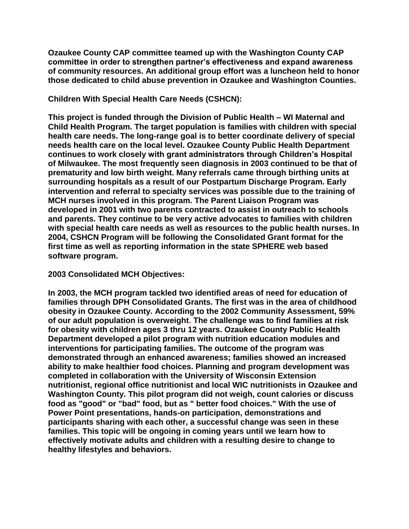**Ozaukee County CAP committee teamed up with the Washington County CAP committee in order to strengthen partner's effectiveness and expand awareness of community resources. An additional group effort was a luncheon held to honor those dedicated to child abuse prevention in Ozaukee and Washington Counties.**

**Children With Special Health Care Needs (CSHCN):**

**This project is funded through the Division of Public Health – WI Maternal and Child Health Program. The target population is families with children with special health care needs. The long-range goal is to better coordinate delivery of special needs health care on the local level. Ozaukee County Public Health Department continues to work closely with grant administrators through Children's Hospital of Milwaukee. The most frequently seen diagnosis in 2003 continued to be that of prematurity and low birth weight. Many referrals came through birthing units at surrounding hospitals as a result of our Postpartum Discharge Program. Early intervention and referral to specialty services was possible due to the training of MCH nurses involved in this program. The Parent Liaison Program was developed in 2001 with two parents contracted to assist in outreach to schools and parents. They continue to be very active advocates to families with children with special health care needs as well as resources to the public health nurses. In 2004, CSHCN Program will be following the Consolidated Grant format for the first time as well as reporting information in the state SPHERE web based software program.**

**2003 Consolidated MCH Objectives:**

**In 2003, the MCH program tackled two identified areas of need for education of families through DPH Consolidated Grants. The first was in the area of childhood obesity in Ozaukee County. According to the 2002 Community Assessment, 59% of our adult population is overweight. The challenge was to find families at risk for obesity with children ages 3 thru 12 years. Ozaukee County Public Health Department developed a pilot program with nutrition education modules and interventions for participating families. The outcome of the program was demonstrated through an enhanced awareness; families showed an increased ability to make healthier food choices. Planning and program development was completed in collaboration with the University of Wisconsin Extension nutritionist, regional office nutritionist and local WIC nutritionists in Ozaukee and Washington County. This pilot program did not weigh, count calories or discuss food as "good" or "bad" food, but as " better food choices." With the use of Power Point presentations, hands-on participation, demonstrations and participants sharing with each other, a successful change was seen in these families. This topic will be ongoing in coming years until we learn how to effectively motivate adults and children with a resulting desire to change to healthy lifestyles and behaviors.**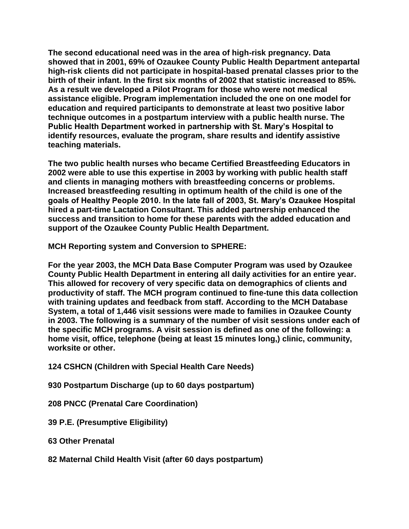**The second educational need was in the area of high-risk pregnancy. Data showed that in 2001, 69% of Ozaukee County Public Health Department antepartal high-risk clients did not participate in hospital-based prenatal classes prior to the birth of their infant. In the first six months of 2002 that statistic increased to 85%. As a result we developed a Pilot Program for those who were not medical assistance eligible. Program implementation included the one on one model for education and required participants to demonstrate at least two positive labor technique outcomes in a postpartum interview with a public health nurse. The Public Health Department worked in partnership with St. Mary's Hospital to identify resources, evaluate the program, share results and identify assistive teaching materials.**

**The two public health nurses who became Certified Breastfeeding Educators in 2002 were able to use this expertise in 2003 by working with public health staff and clients in managing mothers with breastfeeding concerns or problems. Increased breastfeeding resulting in optimum health of the child is one of the goals of Healthy People 2010. In the late fall of 2003, St. Mary's Ozaukee Hospital hired a part-time Lactation Consultant. This added partnership enhanced the success and transition to home for these parents with the added education and support of the Ozaukee County Public Health Department.**

**MCH Reporting system and Conversion to SPHERE:**

**For the year 2003, the MCH Data Base Computer Program was used by Ozaukee County Public Health Department in entering all daily activities for an entire year. This allowed for recovery of very specific data on demographics of clients and productivity of staff. The MCH program continued to fine-tune this data collection with training updates and feedback from staff. According to the MCH Database System, a total of 1,446 visit sessions were made to families in Ozaukee County in 2003. The following is a summary of the number of visit sessions under each of the specific MCH programs. A visit session is defined as one of the following: a home visit, office, telephone (being at least 15 minutes long,) clinic, community, worksite or other.**

- **124 CSHCN (Children with Special Health Care Needs)**
- **930 Postpartum Discharge (up to 60 days postpartum)**

**208 PNCC (Prenatal Care Coordination)**

**39 P.E. (Presumptive Eligibility)** 

**63 Other Prenatal**

**82 Maternal Child Health Visit (after 60 days postpartum)**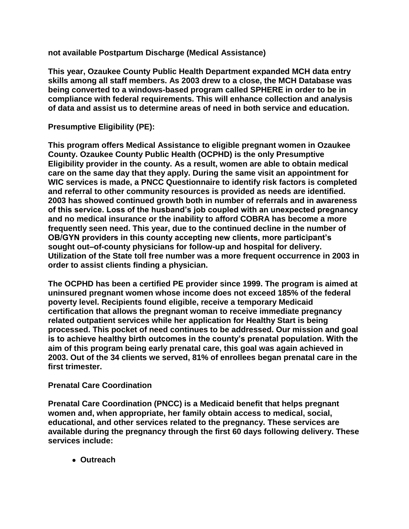**not available Postpartum Discharge (Medical Assistance)**

**This year, Ozaukee County Public Health Department expanded MCH data entry skills among all staff members. As 2003 drew to a close, the MCH Database was being converted to a windows-based program called SPHERE in order to be in compliance with federal requirements. This will enhance collection and analysis of data and assist us to determine areas of need in both service and education.**

**Presumptive Eligibility (PE):**

**This program offers Medical Assistance to eligible pregnant women in Ozaukee County. Ozaukee County Public Health (OCPHD) is the only Presumptive Eligibility provider in the county. As a result, women are able to obtain medical care on the same day that they apply. During the same visit an appointment for WIC services is made, a PNCC Questionnaire to identify risk factors is completed and referral to other community resources is provided as needs are identified. 2003 has showed continued growth both in number of referrals and in awareness of this service. Loss of the husband's job coupled with an unexpected pregnancy and no medical insurance or the inability to afford COBRA has become a more frequently seen need. This year, due to the continued decline in the number of OB/GYN providers in this county accepting new clients, more participant's sought out–of-county physicians for follow-up and hospital for delivery. Utilization of the State toll free number was a more frequent occurrence in 2003 in order to assist clients finding a physician.**

**The OCPHD has been a certified PE provider since 1999. The program is aimed at uninsured pregnant women whose income does not exceed 185% of the federal poverty level. Recipients found eligible, receive a temporary Medicaid certification that allows the pregnant woman to receive immediate pregnancy related outpatient services while her application for Healthy Start is being processed. This pocket of need continues to be addressed. Our mission and goal is to achieve healthy birth outcomes in the county's prenatal population. With the aim of this program being early prenatal care, this goal was again achieved in 2003. Out of the 34 clients we served, 81% of enrollees began prenatal care in the first trimester.** 

#### **Prenatal Care Coordination**

**Prenatal Care Coordination (PNCC) is a Medicaid benefit that helps pregnant women and, when appropriate, her family obtain access to medical, social, educational, and other services related to the pregnancy. These services are available during the pregnancy through the first 60 days following delivery. These services include:**

 **Outreach**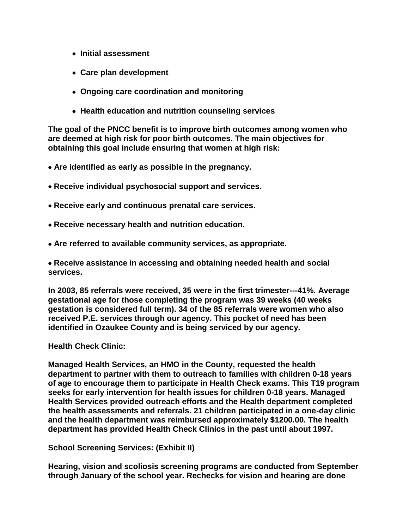- **Initial assessment**
- **Care plan development**
- **Ongoing care coordination and monitoring**
- **Health education and nutrition counseling services**

**The goal of the PNCC benefit is to improve birth outcomes among women who are deemed at high risk for poor birth outcomes. The main objectives for obtaining this goal include ensuring that women at high risk:**

- **Are identified as early as possible in the pregnancy.**
- **Receive individual psychosocial support and services.**
- **Receive early and continuous prenatal care services.**
- **Receive necessary health and nutrition education.**
- **Are referred to available community services, as appropriate.**

**Receive assistance in accessing and obtaining needed health and social services.**

**In 2003, 85 referrals were received, 35 were in the first trimester---41%. Average gestational age for those completing the program was 39 weeks (40 weeks gestation is considered full term). 34 of the 85 referrals were women who also received P.E. services through our agency. This pocket of need has been identified in Ozaukee County and is being serviced by our agency.**

**Health Check Clinic:**

**Managed Health Services, an HMO in the County, requested the health department to partner with them to outreach to families with children 0-18 years of age to encourage them to participate in Health Check exams. This T19 program seeks for early intervention for health issues for children 0-18 years. Managed Health Services provided outreach efforts and the Health department completed the health assessments and referrals. 21 children participated in a one-day clinic and the health department was reimbursed approximately \$1200.00. The health department has provided Health Check Clinics in the past until about 1997.**

**School Screening Services: (Exhibit II)**

**Hearing, vision and scoliosis screening programs are conducted from September through January of the school year. Rechecks for vision and hearing are done**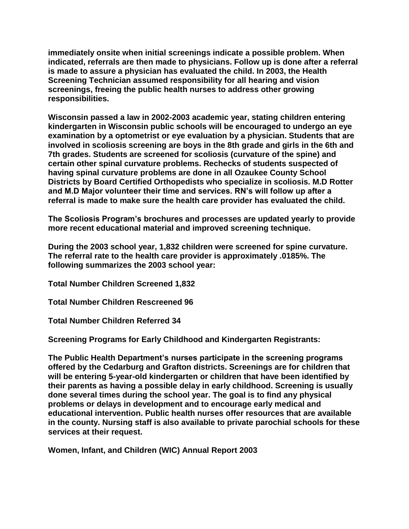**immediately onsite when initial screenings indicate a possible problem. When indicated, referrals are then made to physicians. Follow up is done after a referral is made to assure a physician has evaluated the child. In 2003, the Health Screening Technician assumed responsibility for all hearing and vision screenings, freeing the public health nurses to address other growing responsibilities.**

**Wisconsin passed a law in 2002-2003 academic year, stating children entering kindergarten in Wisconsin public schools will be encouraged to undergo an eye examination by a optometrist or eye evaluation by a physician. Students that are involved in scoliosis screening are boys in the 8th grade and girls in the 6th and 7th grades. Students are screened for scoliosis (curvature of the spine) and certain other spinal curvature problems. Rechecks of students suspected of having spinal curvature problems are done in all Ozaukee County School Districts by Board Certified Orthopedists who specialize in scoliosis. M.D Rotter and M.D Major volunteer their time and services. RN's will follow up after a referral is made to make sure the health care provider has evaluated the child.**

**The Scoliosis Program's brochures and processes are updated yearly to provide more recent educational material and improved screening technique.**

**During the 2003 school year, 1,832 children were screened for spine curvature. The referral rate to the health care provider is approximately .0185%. The following summarizes the 2003 school year:**

**Total Number Children Screened 1,832** 

**Total Number Children Rescreened 96** 

**Total Number Children Referred 34** 

**Screening Programs for Early Childhood and Kindergarten Registrants:** 

**The Public Health Department's nurses participate in the screening programs offered by the Cedarburg and Grafton districts. Screenings are for children that will be entering 5-year-old kindergarten or children that have been identified by their parents as having a possible delay in early childhood. Screening is usually done several times during the school year. The goal is to find any physical problems or delays in development and to encourage early medical and educational intervention. Public health nurses offer resources that are available in the county. Nursing staff is also available to private parochial schools for these services at their request.**

**Women, Infant, and Children (WIC) Annual Report 2003**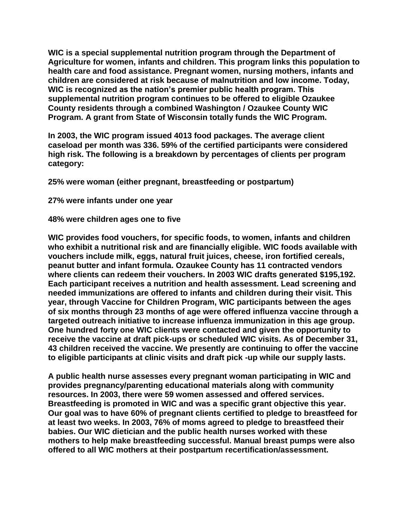**WIC is a special supplemental nutrition program through the Department of Agriculture for women, infants and children. This program links this population to health care and food assistance. Pregnant women, nursing mothers, infants and children are considered at risk because of malnutrition and low income. Today, WIC is recognized as the nation's premier public health program. This supplemental nutrition program continues to be offered to eligible Ozaukee County residents through a combined Washington / Ozaukee County WIC Program. A grant from State of Wisconsin totally funds the WIC Program.** 

**In 2003, the WIC program issued 4013 food packages. The average client caseload per month was 336. 59% of the certified participants were considered high risk. The following is a breakdown by percentages of clients per program category:**

**25% were woman (either pregnant, breastfeeding or postpartum)**

**27% were infants under one year**

**48% were children ages one to five**

**WIC provides food vouchers, for specific foods, to women, infants and children who exhibit a nutritional risk and are financially eligible. WIC foods available with vouchers include milk, eggs, natural fruit juices, cheese, iron fortified cereals, peanut butter and infant formula. Ozaukee County has 11 contracted vendors where clients can redeem their vouchers. In 2003 WIC drafts generated \$195,192. Each participant receives a nutrition and health assessment. Lead screening and needed immunizations are offered to infants and children during their visit. This year, through Vaccine for Children Program, WIC participants between the ages of six months through 23 months of age were offered influenza vaccine through a targeted outreach initiative to increase influenza immunization in this age group. One hundred forty one WIC clients were contacted and given the opportunity to receive the vaccine at draft pick-ups or scheduled WIC visits. As of December 31, 43 children received the vaccine. We presently are continuing to offer the vaccine to eligible participants at clinic visits and draft pick -up while our supply lasts.** 

**A public health nurse assesses every pregnant woman participating in WIC and provides pregnancy/parenting educational materials along with community resources. In 2003, there were 59 women assessed and offered services. Breastfeeding is promoted in WIC and was a specific grant objective this year. Our goal was to have 60% of pregnant clients certified to pledge to breastfeed for at least two weeks. In 2003, 76% of moms agreed to pledge to breastfeed their babies. Our WIC dietician and the public health nurses worked with these mothers to help make breastfeeding successful. Manual breast pumps were also offered to all WIC mothers at their postpartum recertification/assessment.**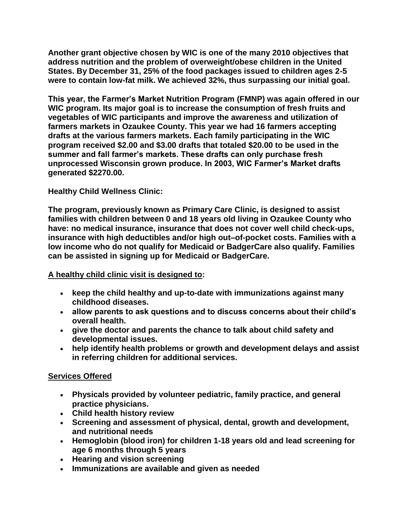**Another grant objective chosen by WIC is one of the many 2010 objectives that address nutrition and the problem of overweight/obese children in the United States. By December 31, 25% of the food packages issued to children ages 2-5 were to contain low-fat milk. We achieved 32%, thus surpassing our initial goal.** 

**This year, the Farmer's Market Nutrition Program (FMNP) was again offered in our WIC program. Its major goal is to increase the consumption of fresh fruits and vegetables of WIC participants and improve the awareness and utilization of farmers markets in Ozaukee County. This year we had 16 farmers accepting drafts at the various farmers markets. Each family participating in the WIC program received \$2.00 and \$3.00 drafts that totaled \$20.00 to be used in the summer and fall farmer's markets. These drafts can only purchase fresh unprocessed Wisconsin grown produce. In 2003, WIC Farmer's Market drafts generated \$2270.00.**

#### **Healthy Child Wellness Clinic:**

**The program, previously known as Primary Care Clinic, is designed to assist families with children between 0 and 18 years old living in Ozaukee County who have: no medical insurance, insurance that does not cover well child check-ups, insurance with high deductibles and/or high out–of-pocket costs. Families with a low income who do not qualify for Medicaid or BadgerCare also qualify. Families can be assisted in signing up for Medicaid or BadgerCare.**

#### **A healthy child clinic visit is designed to:**

- **keep the child healthy and up-to-date with immunizations against many childhood diseases.**
- **allow parents to ask questions and to discuss concerns about their child's overall health.**
- **give the doctor and parents the chance to talk about child safety and developmental issues.**
- **help identify health problems or growth and development delays and assist in referring children for additional services.**

#### **Services Offered**

- **Physicals provided by volunteer pediatric, family practice, and general practice physicians.**
- **Child health history review**
- **Screening and assessment of physical, dental, growth and development, and nutritional needs**
- **Hemoglobin (blood iron) for children 1-18 years old and lead screening for age 6 months through 5 years**
- **Hearing and vision screening**
- **Immunizations are available and given as needed**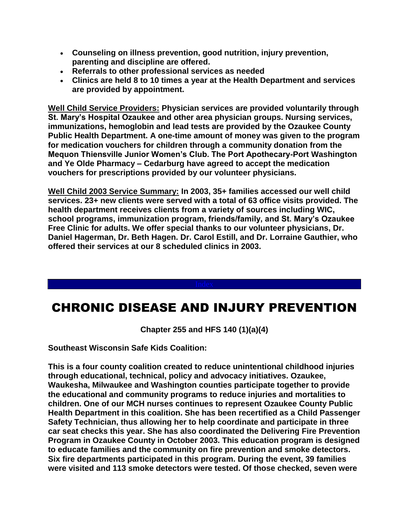- **Counseling on illness prevention, good nutrition, injury prevention, parenting and discipline are offered.**
- **Referrals to other professional services as needed**
- **Clinics are held 8 to 10 times a year at the Health Department and services are provided by appointment.**

**Well Child Service Providers: Physician services are provided voluntarily through St. Mary's Hospital Ozaukee and other area physician groups. Nursing services, immunizations, hemoglobin and lead tests are provided by the Ozaukee County Public Health Department. A one-time amount of money was given to the program for medication vouchers for children through a community donation from the Mequon Thiensville Junior Women's Club. The Port Apothecary-Port Washington and Ye Olde Pharmacy – Cedarburg have agreed to accept the medication vouchers for prescriptions provided by our volunteer physicians.**

**Well Child 2003 Service Summary: In 2003, 35+ families accessed our well child services. 23+ new clients were served with a total of 63 office visits provided. The health department receives clients from a variety of sources including WIC, school programs, immunization program, friends/family, and St. Mary's Ozaukee Free Clinic for adults. We offer special thanks to our volunteer physicians, Dr. Daniel Hagerman, Dr. Beth Hagen. Dr. Carol Estill, and Dr. Lorraine Gauthier, who offered their services at our 8 scheduled clinics in 2003.** 

## CHRONIC DISEASE AND INJURY PREVENTION

**Chapter 255 and HFS 140 (1)(a)(4)**

**Southeast Wisconsin Safe Kids Coalition:**

**This is a four county coalition created to reduce unintentional childhood injuries through educational, technical, policy and advocacy initiatives. Ozaukee, Waukesha, Milwaukee and Washington counties participate together to provide the educational and community programs to reduce injuries and mortalities to children. One of our MCH nurses continues to represent Ozaukee County Public Health Department in this coalition. She has been recertified as a Child Passenger Safety Technician, thus allowing her to help coordinate and participate in three car seat checks this year. She has also coordinated the Delivering Fire Prevention Program in Ozaukee County in October 2003. This education program is designed to educate families and the community on fire prevention and smoke detectors. Six fire departments participated in this program. During the event, 39 families were visited and 113 smoke detectors were tested. Of those checked, seven were**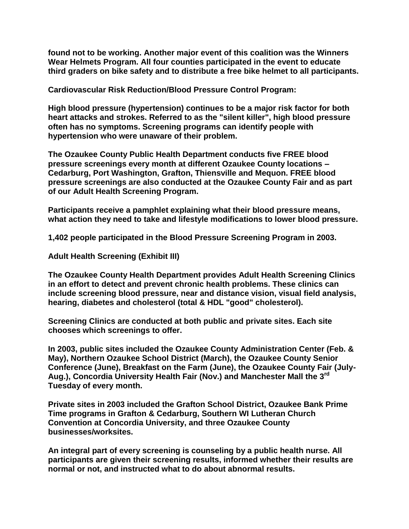**found not to be working. Another major event of this coalition was the Winners Wear Helmets Program. All four counties participated in the event to educate third graders on bike safety and to distribute a free bike helmet to all participants.**

**Cardiovascular Risk Reduction/Blood Pressure Control Program:**

**High blood pressure (hypertension) continues to be a major risk factor for both heart attacks and strokes. Referred to as the "silent killer", high blood pressure often has no symptoms. Screening programs can identify people with hypertension who were unaware of their problem.**

**The Ozaukee County Public Health Department conducts five FREE blood pressure screenings every month at different Ozaukee County locations – Cedarburg, Port Washington, Grafton, Thiensville and Mequon. FREE blood pressure screenings are also conducted at the Ozaukee County Fair and as part of our Adult Health Screening Program.**

**Participants receive a pamphlet explaining what their blood pressure means, what action they need to take and lifestyle modifications to lower blood pressure.**

**1,402 people participated in the Blood Pressure Screening Program in 2003.**

**Adult Health Screening (Exhibit III)**

**The Ozaukee County Health Department provides Adult Health Screening Clinics in an effort to detect and prevent chronic health problems. These clinics can include screening blood pressure, near and distance vision, visual field analysis, hearing, diabetes and cholesterol (total & HDL "good" cholesterol).** 

**Screening Clinics are conducted at both public and private sites. Each site chooses which screenings to offer.** 

**In 2003, public sites included the Ozaukee County Administration Center (Feb. & May), Northern Ozaukee School District (March), the Ozaukee County Senior Conference (June), Breakfast on the Farm (June), the Ozaukee County Fair (July-Aug.), Concordia University Health Fair (Nov.) and Manchester Mall the 3rd Tuesday of every month.**

**Private sites in 2003 included the Grafton School District, Ozaukee Bank Prime Time programs in Grafton & Cedarburg, Southern WI Lutheran Church Convention at Concordia University, and three Ozaukee County businesses/worksites.** 

**An integral part of every screening is counseling by a public health nurse. All participants are given their screening results, informed whether their results are normal or not, and instructed what to do about abnormal results.**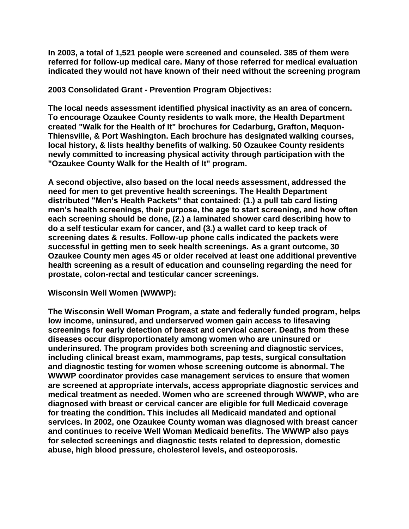**In 2003, a total of 1,521 people were screened and counseled. 385 of them were referred for follow-up medical care. Many of those referred for medical evaluation indicated they would not have known of their need without the screening program**

**2003 Consolidated Grant - Prevention Program Objectives:**

**The local needs assessment identified physical inactivity as an area of concern. To encourage Ozaukee County residents to walk more, the Health Department created "Walk for the Health of It" brochures for Cedarburg, Grafton, Mequon-Thiensville, & Port Washington. Each brochure has designated walking courses, local history, & lists healthy benefits of walking. 50 Ozaukee County residents newly committed to increasing physical activity through participation with the "Ozaukee County Walk for the Health of It" program.**

**A second objective, also based on the local needs assessment, addressed the need for men to get preventive health screenings. The Health Department distributed "Men's Health Packets" that contained: (1.) a pull tab card listing men's health screenings, their purpose, the age to start screening, and how often each screening should be done, (2.) a laminated shower card describing how to do a self testicular exam for cancer, and (3.) a wallet card to keep track of screening dates & results. Follow-up phone calls indicated the packets were successful in getting men to seek health screenings. As a grant outcome, 30 Ozaukee County men ages 45 or older received at least one additional preventive health screening as a result of education and counseling regarding the need for prostate, colon-rectal and testicular cancer screenings.** 

#### **Wisconsin Well Women (WWWP):**

**The Wisconsin Well Woman Program, a state and federally funded program, helps low income, uninsured, and underserved women gain access to lifesaving screenings for early detection of breast and cervical cancer. Deaths from these diseases occur disproportionately among women who are uninsured or underinsured. The program provides both screening and diagnostic services, including clinical breast exam, mammograms, pap tests, surgical consultation and diagnostic testing for women whose screening outcome is abnormal. The WWWP coordinator provides case management services to ensure that women are screened at appropriate intervals, access appropriate diagnostic services and medical treatment as needed. Women who are screened through WWWP, who are diagnosed with breast or cervical cancer are eligible for full Medicaid coverage for treating the condition. This includes all Medicaid mandated and optional services. In 2002, one Ozaukee County woman was diagnosed with breast cancer and continues to receive Well Woman Medicaid benefits. The WWWP also pays for selected screenings and diagnostic tests related to depression, domestic abuse, high blood pressure, cholesterol levels, and osteoporosis.**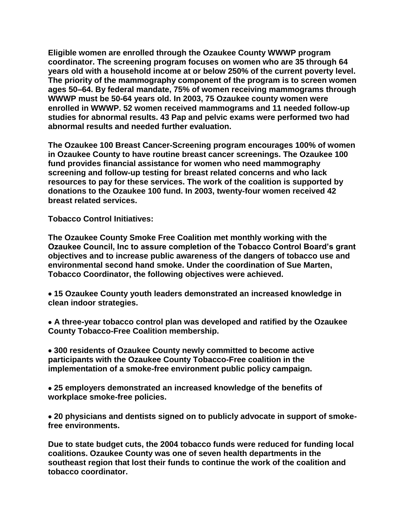**Eligible women are enrolled through the Ozaukee County WWWP program coordinator. The screening program focuses on women who are 35 through 64 years old with a household income at or below 250% of the current poverty level. The priority of the mammography component of the program is to screen women ages 50–64. By federal mandate, 75% of women receiving mammograms through WWWP must be 50-64 years old. In 2003, 75 Ozaukee county women were enrolled in WWWP. 52 women received mammograms and 11 needed follow-up studies for abnormal results. 43 Pap and pelvic exams were performed two had abnormal results and needed further evaluation.**

**The Ozaukee 100 Breast Cancer-Screening program encourages 100% of women in Ozaukee County to have routine breast cancer screenings. The Ozaukee 100 fund provides financial assistance for women who need mammography screening and follow-up testing for breast related concerns and who lack resources to pay for these services. The work of the coalition is supported by donations to the Ozaukee 100 fund. In 2003, twenty-four women received 42 breast related services.**

**Tobacco Control Initiatives:**

**The Ozaukee County Smoke Free Coalition met monthly working with the Ozaukee Council, Inc to assure completion of the Tobacco Control Board's grant objectives and to increase public awareness of the dangers of tobacco use and environmental second hand smoke. Under the coordination of Sue Marten, Tobacco Coordinator, the following objectives were achieved.**

 **15 Ozaukee County youth leaders demonstrated an increased knowledge in clean indoor strategies.** 

 **A three-year tobacco control plan was developed and ratified by the Ozaukee County Tobacco-Free Coalition membership.**

 **300 residents of Ozaukee County newly committed to become active participants with the Ozaukee County Tobacco-Free coalition in the implementation of a smoke-free environment public policy campaign.**

 **25 employers demonstrated an increased knowledge of the benefits of workplace smoke-free policies.**

 **20 physicians and dentists signed on to publicly advocate in support of smokefree environments.**

**Due to state budget cuts, the 2004 tobacco funds were reduced for funding local coalitions. Ozaukee County was one of seven health departments in the southeast region that lost their funds to continue the work of the coalition and tobacco coordinator.**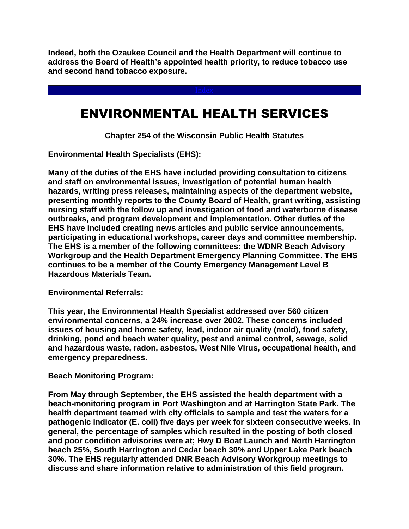**Indeed, both the Ozaukee Council and the Health Department will continue to address the Board of Health's appointed health priority, to reduce tobacco use and second hand tobacco exposure.**

## ENVIRONMENTAL HEALTH SERVICES

**Chapter 254 of the Wisconsin Public Health Statutes**

**Environmental Health Specialists (EHS):** 

**Many of the duties of the EHS have included providing consultation to citizens and staff on environmental issues, investigation of potential human health hazards, writing press releases, maintaining aspects of the department website, presenting monthly reports to the County Board of Health, grant writing, assisting nursing staff with the follow up and investigation of food and waterborne disease outbreaks, and program development and implementation. Other duties of the EHS have included creating news articles and public service announcements, participating in educational workshops, career days and committee membership. The EHS is a member of the following committees: the WDNR Beach Advisory Workgroup and the Health Department Emergency Planning Committee. The EHS continues to be a member of the County Emergency Management Level B Hazardous Materials Team.**

**Environmental Referrals:**

**This year, the Environmental Health Specialist addressed over 560 citizen environmental concerns, a 24% increase over 2002. These concerns included issues of housing and home safety, lead, indoor air quality (mold), food safety, drinking, pond and beach water quality, pest and animal control, sewage, solid and hazardous waste, radon, asbestos, West Nile Virus, occupational health, and emergency preparedness.**

**Beach Monitoring Program:** 

**From May through September, the EHS assisted the health department with a beach-monitoring program in Port Washington and at Harrington State Park. The health department teamed with city officials to sample and test the waters for a pathogenic indicator (E. coli) five days per week for sixteen consecutive weeks. In general, the percentage of samples which resulted in the posting of both closed and poor condition advisories were at; Hwy D Boat Launch and North Harrington beach 25%, South Harrington and Cedar beach 30% and Upper Lake Park beach 30%. The EHS regularly attended DNR Beach Advisory Workgroup meetings to discuss and share information relative to administration of this field program.**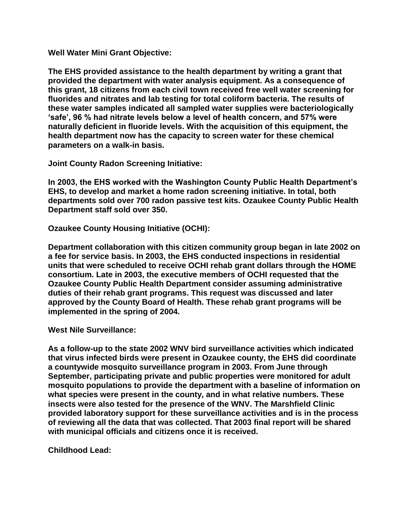**Well Water Mini Grant Objective:**

**The EHS provided assistance to the health department by writing a grant that provided the department with water analysis equipment. As a consequence of this grant, 18 citizens from each civil town received free well water screening for fluorides and nitrates and lab testing for total coliform bacteria. The results of these water samples indicated all sampled water supplies were bacteriologically 'safe', 96 % had nitrate levels below a level of health concern, and 57% were naturally deficient in fluoride levels. With the acquisition of this equipment, the health department now has the capacity to screen water for these chemical parameters on a walk-in basis.**

**Joint County Radon Screening Initiative:**

**In 2003, the EHS worked with the Washington County Public Health Department's EHS, to develop and market a home radon screening initiative. In total, both departments sold over 700 radon passive test kits. Ozaukee County Public Health Department staff sold over 350.**

**Ozaukee County Housing Initiative (OCHI):** 

**Department collaboration with this citizen community group began in late 2002 on a fee for service basis. In 2003, the EHS conducted inspections in residential units that were scheduled to receive OCHI rehab grant dollars through the HOME consortium. Late in 2003, the executive members of OCHI requested that the Ozaukee County Public Health Department consider assuming administrative duties of their rehab grant programs. This request was discussed and later approved by the County Board of Health. These rehab grant programs will be implemented in the spring of 2004.**

**West Nile Surveillance:**

**As a follow-up to the state 2002 WNV bird surveillance activities which indicated that virus infected birds were present in Ozaukee county, the EHS did coordinate a countywide mosquito surveillance program in 2003. From June through September, participating private and public properties were monitored for adult mosquito populations to provide the department with a baseline of information on what species were present in the county, and in what relative numbers. These insects were also tested for the presence of the WNV. The Marshfield Clinic provided laboratory support for these surveillance activities and is in the process of reviewing all the data that was collected. That 2003 final report will be shared with municipal officials and citizens once it is received.**

**Childhood Lead:**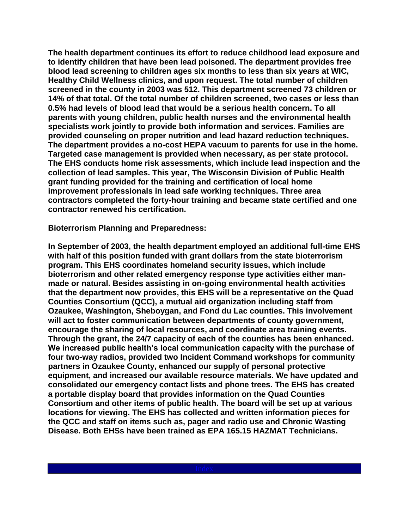**The health department continues its effort to reduce childhood lead exposure and to identify children that have been lead poisoned. The department provides free blood lead screening to children ages six months to less than six years at WIC, Healthy Child Wellness clinics, and upon request. The total number of children screened in the county in 2003 was 512. This department screened 73 children or 14% of that total. Of the total number of children screened, two cases or less than 0.5% had levels of blood lead that would be a serious health concern. To all parents with young children, public health nurses and the environmental health specialists work jointly to provide both information and services. Families are provided counseling on proper nutrition and lead hazard reduction techniques. The department provides a no-cost HEPA vacuum to parents for use in the home. Targeted case management is provided when necessary, as per state protocol. The EHS conducts home risk assessments, which include lead inspection and the collection of lead samples. This year, The Wisconsin Division of Public Health grant funding provided for the training and certification of local home improvement professionals in lead safe working techniques. Three area contractors completed the forty-hour training and became state certified and one contractor renewed his certification.** 

**Bioterrorism Planning and Preparedness:**

**In September of 2003, the health department employed an additional full-time EHS with half of this position funded with grant dollars from the state bioterrorism program. This EHS coordinates homeland security issues, which include bioterrorism and other related emergency response type activities either manmade or natural. Besides assisting in on-going environmental health activities that the department now provides, this EHS will be a representative on the Quad Counties Consortium (QCC), a mutual aid organization including staff from Ozaukee, Washington, Sheboygan, and Fond du Lac counties. This involvement will act to foster communication between departments of county government, encourage the sharing of local resources, and coordinate area training events. Through the grant, the 24/7 capacity of each of the counties has been enhanced. We increased public health's local communication capacity with the purchase of four two-way radios, provided two Incident Command workshops for community partners in Ozaukee County, enhanced our supply of personal protective equipment, and increased our available resource materials. We have updated and consolidated our emergency contact lists and phone trees. The EHS has created a portable display board that provides information on the Quad Counties Consortium and other items of public health. The board will be set up at various locations for viewing. The EHS has collected and written information pieces for the QCC and staff on items such as, pager and radio use and Chronic Wasting Disease. Both EHSs have been trained as EPA 165.15 HAZMAT Technicians.**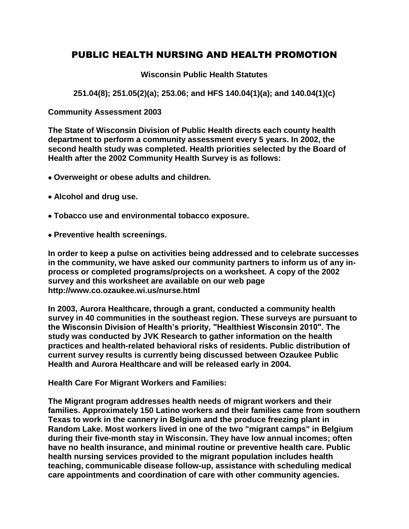### PUBLIC HEALTH NURSING AND HEALTH PROMOTION

#### **Wisconsin Public Health Statutes**

**251.04(8); 251.05(2)(a); 253.06; and HFS 140.04(1)(a); and 140.04(1)(c)**

**Community Assessment 2003**

**The State of Wisconsin Division of Public Health directs each county health department to perform a community assessment every 5 years. In 2002, the second health study was completed. Health priorities selected by the Board of Health after the 2002 Community Health Survey is as follows:**

- **Overweight or obese adults and children.**
- **Alcohol and drug use.**
- **Tobacco use and environmental tobacco exposure.**
- **Preventive health screenings.**

**In order to keep a pulse on activities being addressed and to celebrate successes in the community, we have asked our community partners to inform us of any inprocess or completed programs/projects on a worksheet. A copy of the 2002 survey and this worksheet are available on our web page http://www.co.ozaukee.wi.us/nurse.html**

**In 2003, Aurora Healthcare, through a grant, conducted a community health survey in 40 communities in the southeast region. These surveys are pursuant to the Wisconsin Division of Health's priority, "Healthiest Wisconsin 2010". The study was conducted by JVK Research to gather information on the health practices and health-related behavioral risks of residents. Public distribution of current survey results is currently being discussed between Ozaukee Public Health and Aurora Healthcare and will be released early in 2004.**

**Health Care For Migrant Workers and Families:**

**The Migrant program addresses health needs of migrant workers and their families. Approximately 150 Latino workers and their families came from southern Texas to work in the cannery in Belgium and the produce freezing plant in Random Lake. Most workers lived in one of the two "migrant camps" in Belgium during their five-month stay in Wisconsin. They have low annual incomes; often have no health insurance, and minimal routine or preventive health care. Public health nursing services provided to the migrant population includes health teaching, communicable disease follow-up, assistance with scheduling medical care appointments and coordination of care with other community agencies.**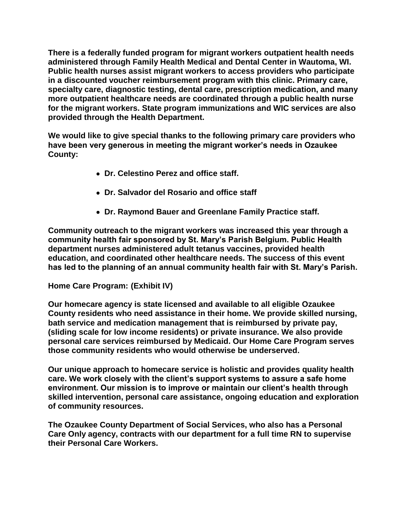**There is a federally funded program for migrant workers outpatient health needs administered through Family Health Medical and Dental Center in Wautoma, WI. Public health nurses assist migrant workers to access providers who participate in a discounted voucher reimbursement program with this clinic. Primary care, specialty care, diagnostic testing, dental care, prescription medication, and many more outpatient healthcare needs are coordinated through a public health nurse for the migrant workers. State program immunizations and WIC services are also provided through the Health Department.** 

**We would like to give special thanks to the following primary care providers who have been very generous in meeting the migrant worker's needs in Ozaukee County:**

- **Dr. Celestino Perez and office staff.**
- **Dr. Salvador del Rosario and office staff**
- **Dr. Raymond Bauer and Greenlane Family Practice staff.**

**Community outreach to the migrant workers was increased this year through a community health fair sponsored by St. Mary's Parish Belgium. Public Health department nurses administered adult tetanus vaccines, provided health education, and coordinated other healthcare needs. The success of this event has led to the planning of an annual community health fair with St. Mary's Parish.** 

#### **Home Care Program: (Exhibit IV)**

**Our homecare agency is state licensed and available to all eligible Ozaukee County residents who need assistance in their home. We provide skilled nursing, bath service and medication management that is reimbursed by private pay, (sliding scale for low income residents) or private insurance. We also provide personal care services reimbursed by Medicaid. Our Home Care Program serves those community residents who would otherwise be underserved.** 

**Our unique approach to homecare service is holistic and provides quality health care. We work closely with the client's support systems to assure a safe home environment. Our mission is to improve or maintain our client's health through skilled intervention, personal care assistance, ongoing education and exploration of community resources.**

**The Ozaukee County Department of Social Services, who also has a Personal Care Only agency, contracts with our department for a full time RN to supervise their Personal Care Workers.**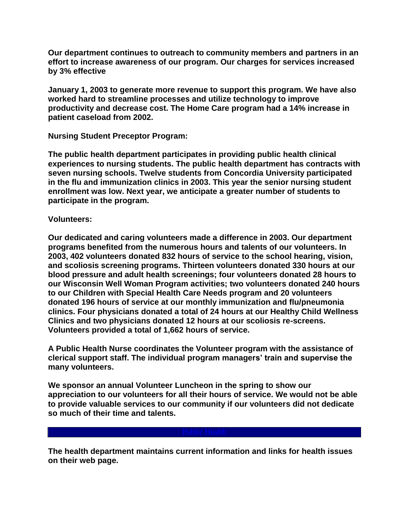**Our department continues to outreach to community members and partners in an effort to increase awareness of our program. Our charges for services increased by 3% effective** 

**January 1, 2003 to generate more revenue to support this program. We have also worked hard to streamline processes and utilize technology to improve productivity and decrease cost. The Home Care program had a 14% increase in patient caseload from 2002.** 

**Nursing Student Preceptor Program:**

**The public health department participates in providing public health clinical experiences to nursing students. The public health department has contracts with seven nursing schools. Twelve students from Concordia University participated in the flu and immunization clinics in 2003. This year the senior nursing student enrollment was low. Next year, we anticipate a greater number of students to participate in the program.**

**Volunteers:**

**Our dedicated and caring volunteers made a difference in 2003. Our department programs benefited from the numerous hours and talents of our volunteers. In 2003, 402 volunteers donated 832 hours of service to the school hearing, vision, and scoliosis screening programs. Thirteen volunteers donated 330 hours at our blood pressure and adult health screenings; four volunteers donated 28 hours to our Wisconsin Well Woman Program activities; two volunteers donated 240 hours to our Children with Special Health Care Needs program and 20 volunteers donated 196 hours of service at our monthly immunization and flu/pneumonia clinics. Four physicians donated a total of 24 hours at our Healthy Child Wellness Clinics and two physicians donated 12 hours at our scoliosis re-screens. Volunteers provided a total of 1,662 hours of service.**

**A Public Health Nurse coordinates the Volunteer program with the assistance of clerical support staff. The individual program managers' train and supervise the many volunteers.**

**We sponsor an annual Volunteer Luncheon in the spring to show our appreciation to our volunteers for all their hours of service. We would not be able to provide valuable services to our community if our volunteers did not dedicate so much of their time and talents.**

**The health department maintains current information and links for health issues on their web page.**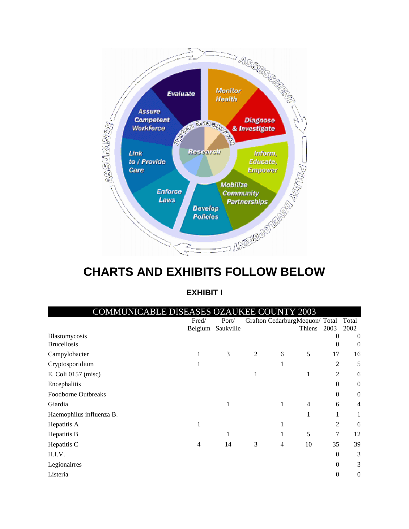

## **CHARTS AND EXHIBITS FOLLOW BELOW**

#### **EXHIBIT I**

| COMMUNICABLE DISEASES OZAUKEE COUNTY 2003 |         |           |                |                                |                |                |                  |
|-------------------------------------------|---------|-----------|----------------|--------------------------------|----------------|----------------|------------------|
|                                           | Fred/   | Port/     |                | Grafton CedarburgMequon/ Total |                |                | Total            |
|                                           | Belgium | Saukville |                |                                | Thiens         | 2003           | 2002             |
| Blastomycosis                             |         |           |                |                                |                | 0              | $\overline{0}$   |
| <b>Brucellosis</b>                        |         |           |                |                                |                | $\Omega$       | $\overline{0}$   |
| Campylobacter                             | 1       | 3         | $\overline{2}$ | 6                              | 5              | 17             | 16               |
| Cryptosporidium                           |         |           |                | 1                              |                | 2              | 5                |
| E. Coli 0157 (misc)                       |         |           |                |                                | 1              | $\overline{2}$ | 6                |
| Encephalitis                              |         |           |                |                                |                | $\Omega$       | $\boldsymbol{0}$ |
| Foodborne Outbreaks                       |         |           |                |                                |                | $\mathbf{0}$   | $\boldsymbol{0}$ |
| Giardia                                   |         | 1         |                | 1                              | $\overline{4}$ | 6              | $\overline{4}$   |
| Haemophilus influenza B.                  |         |           |                |                                |                | 1              | 1                |
| Hepatitis A                               | 1       |           |                |                                |                | $\overline{2}$ | 6                |
| Hepatitis B                               |         | 1         |                |                                | 5              | 7              | 12               |
| Hepatitis C                               | 4       | 14        | 3              | 4                              | 10             | 35             | 39               |
| H.I.V.                                    |         |           |                |                                |                | $\mathbf{0}$   | 3                |
| Legionairres                              |         |           |                |                                |                | $\mathbf{0}$   | 3                |
| Listeria                                  |         |           |                |                                |                | $\theta$       | $\theta$         |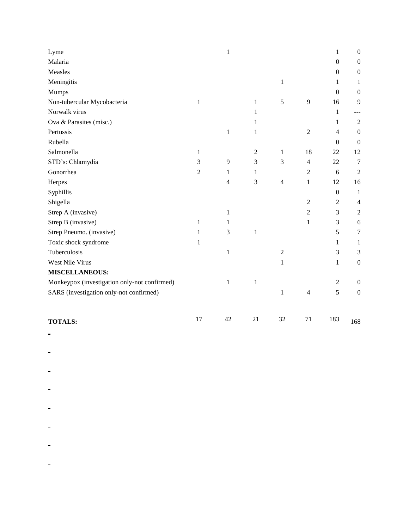| SARS (investigation only-not confirmed)      |                |                |                | $\mathbf{1}$   | $\overline{4}$   | 5                | $\boldsymbol{0}$ |
|----------------------------------------------|----------------|----------------|----------------|----------------|------------------|------------------|------------------|
| Monkeypox (investigation only-not confirmed) |                | $\mathbf{1}$   | $\mathbf{1}$   |                |                  | $\mathfrak{2}$   | $\boldsymbol{0}$ |
| <b>MISCELLANEOUS:</b>                        |                |                |                |                |                  |                  |                  |
| West Nile Virus                              |                |                |                | $\mathbf{1}$   |                  | $\mathbf{1}$     | $\boldsymbol{0}$ |
| Tuberculosis                                 |                | $\mathbf{1}$   |                | $\overline{2}$ |                  | 3                | 3                |
| Toxic shock syndrome                         | 1              |                |                |                |                  | 1                | 1                |
| Strep Pneumo. (invasive)                     | 1              | 3              | $\mathbf 1$    |                |                  | 5                | $\tau$           |
| Strep B (invasive)                           | 1              | 1              |                |                | 1                | 3                | 6                |
| Strep A (invasive)                           |                | 1              |                |                | $\overline{2}$   | 3                | 2                |
| Shigella                                     |                |                |                |                | $\overline{2}$   | $\overline{2}$   | $\overline{4}$   |
| Syphillis                                    |                |                |                |                |                  | $\boldsymbol{0}$ | -1               |
| Herpes                                       |                | $\overline{4}$ | 3              | $\overline{4}$ | $\mathbf{1}$     | 12               | 16               |
| Gonorrhea                                    | $\overline{2}$ | 1              | $\mathbf{1}$   |                | $\overline{2}$   | 6                | $\sqrt{2}$       |
| STD's: Chlamydia                             | 3              | 9              | 3              | 3              | $\overline{4}$   | 22               | $7\phantom{.0}$  |
| Salmonella                                   | 1              |                | $\overline{2}$ | $\mathbf{1}$   | 18               | 22               | 12               |
| Rubella                                      |                |                |                |                |                  | $\boldsymbol{0}$ | $\boldsymbol{0}$ |
| Pertussis                                    |                | $\,1\,$        | $\mathbf 1$    |                | $\boldsymbol{2}$ | 4                | $\boldsymbol{0}$ |
| Ova & Parasites (misc.)                      |                |                | 1              |                |                  | 1                | $\sqrt{2}$       |
| Norwalk virus                                |                |                | 1              |                |                  | 1                | ---              |
| Non-tubercular Mycobacteria                  | $\mathbf{1}$   |                | $\mathbf{1}$   | 5              | 9                | 16               | 9                |
| Mumps                                        |                |                |                |                |                  | $\boldsymbol{0}$ | $\mathbf{0}$     |
| Meningitis                                   |                |                |                | $\mathbf{1}$   |                  | 1                | 1                |
| Measles                                      |                |                |                |                |                  | $\boldsymbol{0}$ | $\boldsymbol{0}$ |
| Malaria                                      |                |                |                |                |                  | $\boldsymbol{0}$ | $\boldsymbol{0}$ |
| Lyme                                         |                | $\mathbf{1}$   |                |                |                  | 1                | $\boldsymbol{0}$ |

- 
- $\frac{1}{2}$  , and  $\frac{1}{2}$  , and  $\frac{1}{2}$
- $\mathcal{L}_{\text{max}}$  .
- 
- $\mathcal{L}^{\text{max}}_{\text{max}}$
- 
- $\frac{1}{2} \left( \frac{1}{2} \right)$  ,  $\frac{1}{2} \left( \frac{1}{2} \right)$  ,  $\frac{1}{2} \left( \frac{1}{2} \right)$
- $\omega_{\rm{max}}$  and  $\omega_{\rm{max}}$ 
	-
- $\mathcal{L}^{\mathcal{L}}(\mathcal{L}^{\mathcal{L}}(\mathcal{L}^{\mathcal{L}}(\mathcal{L}^{\mathcal{L}}(\mathcal{L}^{\mathcal{L}}(\mathcal{L}^{\mathcal{L}}(\mathcal{L}^{\mathcal{L}}(\mathcal{L}^{\mathcal{L}}(\mathcal{L}^{\mathcal{L}}(\mathcal{L}^{\mathcal{L}}(\mathcal{L}^{\mathcal{L}}(\mathcal{L}^{\mathcal{L}}(\mathcal{L}^{\mathcal{L}}(\mathcal{L}^{\mathcal{L}}(\mathcal{L}^{\mathcal{L}}(\mathcal{L}^{\mathcal{L}}(\mathcal{L}^{\mathcal{L$ 
	- $\frac{1}{2} \left( \frac{1}{2} \right)$  ,  $\frac{1}{2} \left( \frac{1}{2} \right)$  ,  $\frac{1}{2} \left( \frac{1}{2} \right)$
	- $\frac{1}{2} \left( \frac{1}{2} \right)$  ,  $\frac{1}{2} \left( \frac{1}{2} \right)$  ,  $\frac{1}{2} \left( \frac{1}{2} \right)$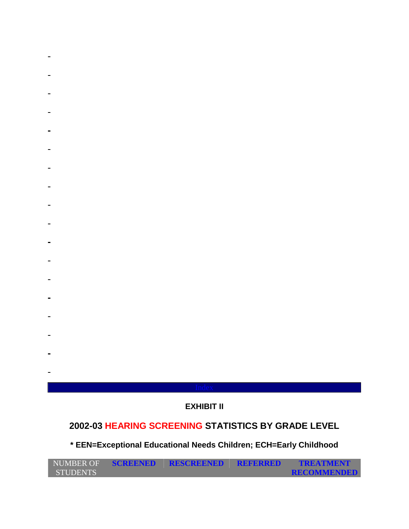- 
- 
- 
- 
- 
- 
- 
- 
- 
- 
- 
- -
- -

### **EXHIBIT II**

## **2002-03 HEARING SCREENING STATISTICS BY GRADE LEVEL**

## **\* EEN=Exceptional Educational Needs Children; ECH=Early Childhood**

| NUMBER OF       | <b>SCREENED</b> | <b>RESCREENED</b> | REFERRED | <b>TREATMENT</b>   |
|-----------------|-----------------|-------------------|----------|--------------------|
| <b>STUDENTS</b> |                 |                   |          | <b>RECOMMENDED</b> |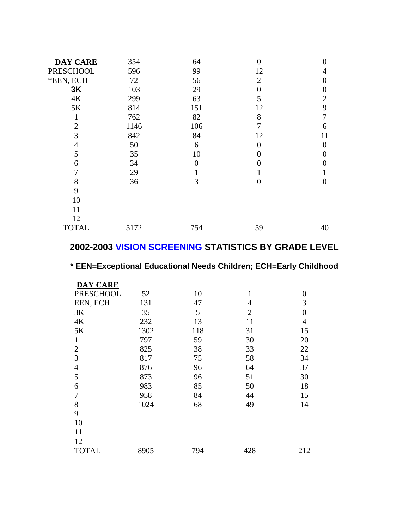| <b>DAY CARE</b> | 354  | 64  | $\overline{0}$ | 0                 |
|-----------------|------|-----|----------------|-------------------|
| PRESCHOOL       | 596  | 99  | 12             | 4                 |
| *EEN, ECH       | 72   | 56  | $\overline{2}$ | 0                 |
| 3K              | 103  | 29  | $\overline{0}$ | 0                 |
| $4K$            | 299  | 63  | 5              | $\overline{2}$    |
| $5K$            | 814  | 151 | 12             | 9                 |
| 1               | 762  | 82  | 8              | 7                 |
| $\overline{2}$  | 1146 | 106 | 7              | 6                 |
| 3               | 842  | 84  | 12             | 11                |
| 4               | 50   | 6   | $\theta$       | $\Omega$          |
| 5               | 35   | 10  | 0              | $\mathbf{\Omega}$ |
| 6               | 34   | 0   | 0              |                   |
| 7               | 29   |     |                |                   |
| 8               | 36   | 3   | $\overline{0}$ | 0                 |
| 9               |      |     |                |                   |
| 10              |      |     |                |                   |
| 11              |      |     |                |                   |
| 12              |      |     |                |                   |
| <b>TOTAL</b>    | 5172 | 754 | 59             | 40                |

### **2002-2003 VISION SCREENING STATISTICS BY GRADE LEVEL**

## **\* EEN=Exceptional Educational Needs Children; ECH=Early Childhood**

| <b>DAY CARE</b>  |      |     |                |                  |
|------------------|------|-----|----------------|------------------|
| <b>PRESCHOOL</b> | 52   | 10  | $\mathbf{1}$   | $\boldsymbol{0}$ |
| EEN, ECH         | 131  | 47  | 4              | 3                |
| 3K               | 35   | 5   | $\overline{2}$ | $\overline{0}$   |
| $4K$             | 232  | 13  | 11             | 4                |
| 5K               | 1302 | 118 | 31             | 15               |
| 1                | 797  | 59  | 30             | 20               |
| $\overline{2}$   | 825  | 38  | 33             | 22               |
| 3                | 817  | 75  | 58             | 34               |
| $\overline{4}$   | 876  | 96  | 64             | 37               |
| 5                | 873  | 96  | 51             | 30               |
| 6                | 983  | 85  | 50             | 18               |
| 7                | 958  | 84  | 44             | 15               |
| 8                | 1024 | 68  | 49             | 14               |
| 9                |      |     |                |                  |
| 10               |      |     |                |                  |
| 11               |      |     |                |                  |
| 12               |      |     |                |                  |
| <b>TOTAL</b>     | 8905 | 794 | 428            | 212              |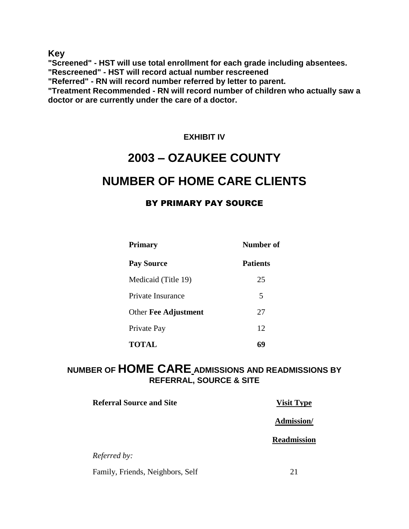**Key**

**"Screened" - HST will use total enrollment for each grade including absentees.**

**"Rescreened" - HST will record actual number rescreened**

**"Referred" - RN will record number referred by letter to parent.**

**"Treatment Recommended - RN will record number of children who actually saw a doctor or are currently under the care of a doctor.**

### **EXHIBIT IV**

## **2003 – OZAUKEE COUNTY NUMBER OF HOME CARE CLIENTS**

### BY PRIMARY PAY SOURCE

| <b>Primary</b>       | Number of       |
|----------------------|-----------------|
| <b>Pay Source</b>    | <b>Patients</b> |
| Medicaid (Title 19)  | 25              |
| Private Insurance    | 5               |
| Other Fee Adjustment | 27              |
| Private Pay          | 12              |
| <b>TOTAL</b>         | 69              |

### **NUMBER OF HOME CARE ADMISSIONS AND READMISSIONS BY REFERRAL, SOURCE & SITE**

| <b>Referral Source and Site</b>  | <b>Visit Type</b>  |
|----------------------------------|--------------------|
|                                  | Admission/         |
|                                  | <b>Readmission</b> |
| <i>Referred by:</i>              |                    |
| Family, Friends, Neighbors, Self | 21                 |